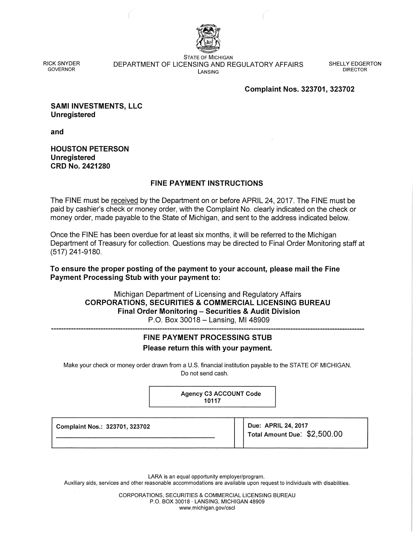

RICK SNYDER GOVERNOR

STATE OF MICHIGAN DEPARTMENT OF LICENSING AND REGULATORY AFFAIRS LANSING

SHELLY EDGERTON DIRECTOR

### Complaint Nos. 323701, 323702

SAMI INVESTMENTS, LLC Unregistered

and

HOUSTON PETERSON **Unregistered** CRD No. 2421280

## FINE PAYMENT INSTRUCTIONS

The FINE must be received by the Department on or before APRIL 24, 2017. The FINE must be paid by cashier's check or money order, with the Complaint No. clearly indicated on the check or money order, made payable to the State of Michigan, and sent to the address indicated below.

Once the FINE has been overdue for at least six months, it will be referred to the Michigan Department of Treasury for collection. Questions may be directed to Final Order Monitoring staff at (517) 241-9180.

To ensure the proper posting of the payment to your account, please mail the Fine Payment Processing Stub with your payment to:

> Michigan Department of Licensing and Regulatory Affairs CORPORATIONS, SECURITIES & COMMERCIAL LICENSING BUREAU Final Order Monitoring - Securities & Audit Division P.O. Box 30018 - Lansing, MI 48909

# FINE PAYMENT PROCESSING STUB

Please return this with your payment.

Make your check or money order drawn from a U.S. financial institution payable to the STATE OF MICHIGAN. Do not send cash.

> Agency C3 ACCOUNT Code 10117

Complaint Nos.: 323701, 323702

Due: APRIL 24, 2017 Total Amount Due: \$2,500.00

LARA is an equal opportunity employer/program.

Auxiliary aids, services and other reasonable accommodations are available upon request to individuals with disabilities.

CORPORATIONS, SECURITIES & COMMERCIAL LICENSING BUREAU P.O. BOX 30018 · LANSING, MICHIGAN 48909 www.michigan.gov/cscl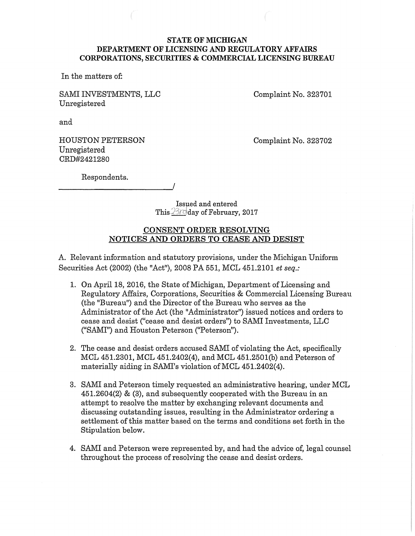#### **STATE OF MICHIGAN** DEPARTMENT OF LICENSING AND REGULATORY AFFAIRS CORPORATIONS, SECURITIES & COMMERCIAL LICENSING BUREAU

In the matters of:

SAMI INVESTMENTS, LLC Unregistered

Complaint No. 323701

and

HOUSTON PETERSON Unregistered CRD#2421280

Complaint No. 323702

Respondents.

Issµed and entered This 23rd day of February, 2017

## CONSENT ORDER RESOLVING NOTICES AND ORDERS TO CEASE AND DESIST

A. Relevant information and statutory provisions, under the Michigan Uniform Securities Act (2002) (the "Act"), 2008 PA 551, MCL 451.2101 *et seq.:* 

- 1. On April 18, 2016, the State of Michigan, Department of Licensing and Regulatory Affairs, Corporations, Securities & Commercial Licensing Bureau (the "Bureau") and the Director of the Bureau who serves as the Administrator of the Act (the "Administrator") issued notices and orders to cease and desist ("cease and desist orders") to SAMI Investments, LLC ("SAMI") and Houston Peterson ("Peterson").
- 2. The cease and desist orders accused SAMI of violating the Act, specifically MCL 451.2301, MCL 451.2402(4), and MCL 451.2501(b) and Peterson of materially aiding in SAMI's violation of MCL 451.2402(4).
- 3. SAMI and Peterson timely requested an administrative hearing, under MCL 451.2604(2) & (3), and subsequently cooperated with the Bureau in an attempt to resolve the matter by exchanging relevant documents and discussing outstanding issues, resulting in the Administrator ordering a settlement of this matter based on the terms and conditions set forth in the Stipulation below.
- 4. SAMI and Peterson were represented by, and had the advice of, legal counsel throughout the process of resolving the cease and desist orders.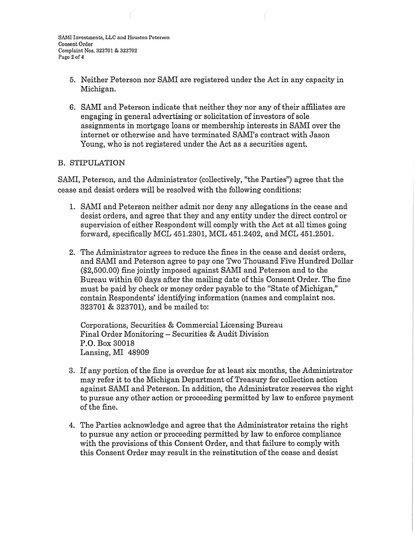- 5. Neither Peterson nor SAM! are registered under the Act in any capacity in Michigan.
- 6. SAMI and Peterson indicate that neither they nor any of their affiliates are engaging in general advertising or solicitation of investors of sole assignments in mortgage loans or membership interests in SAMI over the internet or otherwise and have terminated SAMI's contract with Jason Young, who is not registered under the Act as a securities agent.

## B. STIPULATION

SAMI, Peterson, and the Administrator (collectively, "the Parties") agree that the cease and desist orders will be resolved with the following conditions:

- 1. SAMI and Peterson neither admit nor deny any allegations in the cease and desist orders, and agree that they and any entity under the direct control or supervision of either Respondent will comply with the Act at all times going forward, specifically MCL 451.2301, MCL 451.2402, and MCL 451.2501.
- 2. The Administrator agrees to reduce the fines in the cease and desist orders, and SAMI and Peterson agree to pay one Two Thousand Five Hundred Dollar (\$2,500.00) fine jointly imposed against SAMI and Peterson and to the Bureau within 60 days after the mailing date of this Consent Order. The fine must be paid by check or money order payable to the "State of Michigan," contain Respondents' identifying information (names and complaint nos. 323701 & 323701), and be mailed to:

Corporations, Securities & Commercial Licensing Bureau Final Order Monitoring - Securities & Audit Division P.O. Box 30018 Lansing, MI 48909

- 3. If any portion of the fine is overdue for at least six months, the Administrator may refer it to the Michigan Department of Treasury for collection action against SAMI and Peterson. In addition, the Administrator reserves the right to pursue any other action or proceeding permitted by law to enforce payment of the fine.
- 4. The Parties acknowledge and agree that the Administrator retains the right to pursue any action or proceeding permitted by law to enforce compliance with the provisions of this Consent Order, and that failure to comply with this Consent Order may result in the reinstitution of the cease and desist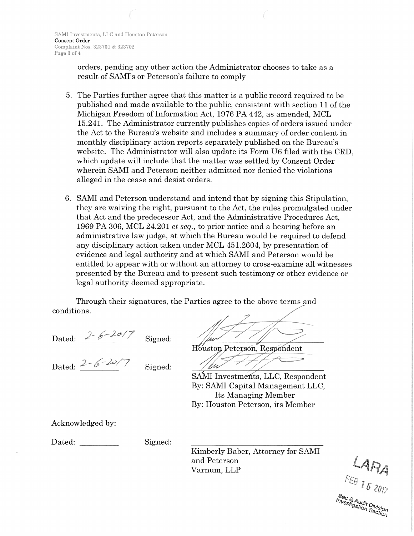orders, pending any other action the Administrator chooses to take as a result of SAMI's or Peterson's failure to comply

- 5. The Parties further agree that this matter is a public record required to be published and made available to the public, consistent with section 11 of the Michigan Freedom of Information Act, 1976 PA 442, as amended, MCL 15.241. The Administrator currently publishes copies of orders issued under the Act to the Bureau's website and includes a summary of order content in monthly disciplinary action reports separately published on the Bureau's website. The Administrator will also update its Form U6 filed with the CRD, which update will include that the matter was settled by Consent Order wherein SAMI and Peterson neither admitted nor denied the violations alleged in the cease and desist orders.
- 6. SAMI and Peterson understand and intend that by signing this Stipulation, they are waiving the right, pursuant to the Act, the rules promulgated under that Act and the predecessor Act, and the Administrative Procedures Act, 1969 PA 306, MCL 24.201 *et seq.,* to prior notice and a hearing before an administrative law judge, at which the Bureau would be required to defend any disciplinary action taken under MCL 451.2604, by presentation of evidence and legal authority and at which SAMI and Peterson would be entitled to appear with or without an attorney to cross-examine all witnesses presented by the Bureau and to present such testimony or other evidence or legal authority deemed appropriate.

Through their signatures, the Parties agree to the above terms and conditions.

Dated:  $2 - 6 - 20/7$ Signed:

Dated:  $2 - 6 - 20/7$ 

Signed:

Houston Peterson, Respondent

SAMI Investments, LLC, Respondent By: SAMI Capital Management LLC, Its Managing Member By: Houston Peterson, its Member

Acknowledged by:

Dated:

Signed:

Kimberly Baber, Attorney for SAMI and Peterson Varnum, LLP

 $L$ ARA<br>FEB<sub>152017</sub> e UT/<br>Investigation Section<br>Section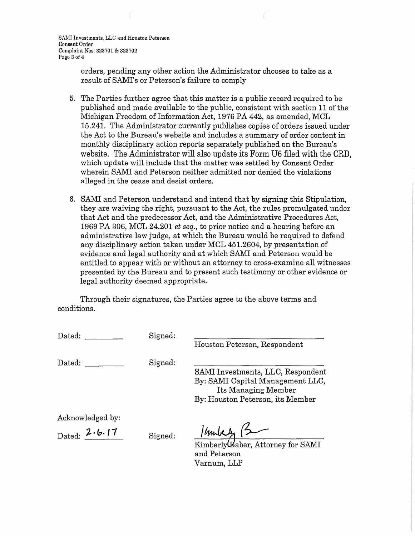SAMI Investments, LLC and Houston Peterson Consent Order Complaint Nos. 323701 & 323702 Page 3 of 4

> orders, pending any other action the Administrator chooses to take as a result of SAMI's or Peterson's failure to comply

- 5. The Parties further agree that this matter is a public record required to be published and made available to the public, consistent with section 11 of the Michigan Freedom of Information Act, 1976 PA 442, as amended, MCL 15.241. The Administrator currently publishes copies of orders issued under the Act to the Bureau's website and includes a summary of order content in monthly disciplinary action reports separately published on the Bureau's website. The Administrator will also update its Form U6 filed with the CRD, which update will include that the matter was settled by Consent Order wherein SAMI and Peterson neither admitted nor denied the violations alleged in the cease and desist orders.
- 6. SAMI and Peterson understand and intend that by signing this Stipulation, they are waiving the right, pursuant to the Act, the rules promulgated under that Act and the predecessor Act, and the Administrative Procedures Act, 1969 PA 306, MCL 24.201 *et seq.,* to prior notice and a hearing before an administrative law judge, at which the Bureau would be required to defend any disciplinary action taken under MCL 451.2604, by presentation of evidence and legal authority and at which SAMI and Peterson would be entitled to appear with or without an attorney to cross-examine all witnesses presented by the Bureau and to present such testimony or other evidence or legal authority deemed appropriate.

Through their signatures, the Parties agree to the above terms and conditions.

| Dated:                              | Signed: | Houston Peterson, Respondent                                                                                                     |
|-------------------------------------|---------|----------------------------------------------------------------------------------------------------------------------------------|
| Dated:                              | Signed: | SAMI Investments, LLC, Respondent<br>By: SAMI Capital Management LLC,<br>Its Managing Member<br>By: Houston Peterson, its Member |
| Acknowledged by:<br>Dated: $2.6.17$ | Signed: | 1 hours<br>Kimberly Baber, Attorney for SAMI<br>and Peterson<br>Varnum, LLP                                                      |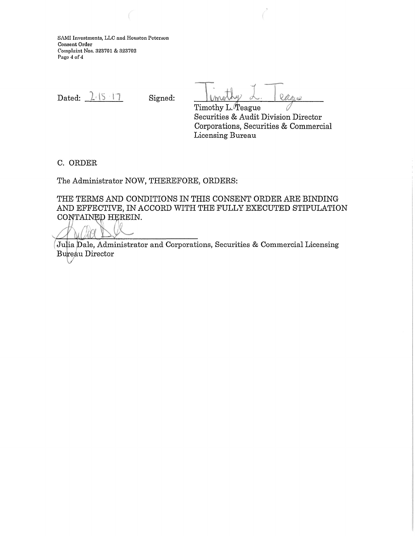SAMI Investments, LLC and Houston Peterson Consent Order Complaint Nos. 323701 & 323702 Page 4 of 4

Dated: 1-15-17

Signed:

<u>I Unio Wy L. Peque</u><br>Timothy L. Teague

Securities & Audit Division Director Corporations, Securities & Commercial Licensing Bureau

C. ORDER

The Administrator NOW, THEREFORE, ORDERS:

THE TERMS AND CONDITIONS IN THIS CONSENT ORDER ARE BINDING AND EFFECTIVE, IN ACCORD WITH THE FULLY EXECUTED STIPULATION CONTAINED HEREIN.

Julia Dale, Administrator and Corporations, Securities & Commercial Licensing Bureau Director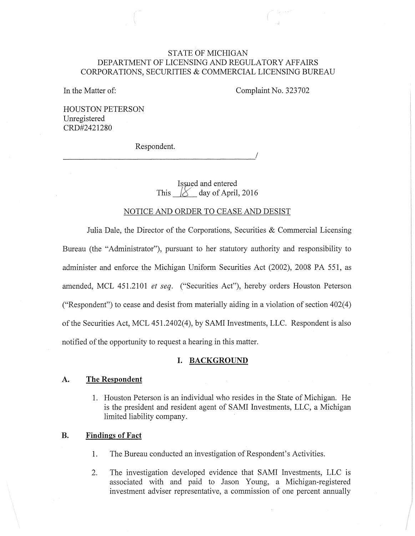## STATE OF MICHIGAN DEPARTMENT OF LICENSING AND REGULATORY AFFAIRS CORPORATIONS, SECURITIES & COMMERCIAL LICENSING BUREAU

In the Matter of:

Complaint No. 323702

HOUSTON PETERSON Unregistered CRD#2421280

Respondent.

Issued and entered This  $18$  day of April, 2016

#### NOTICE AND ORDER TO CEASE AND DESIST

Julia Dale, the Director of the Corporations, Securities & Commercial Licensing Bureau (the "Administrator"), pursuant to her statutory authority and responsibility to administer and enforce the Michigan Uniform Securities Act (2002), 2008 PA 551, as amended, MCL 451.2101 *et seq.* ("Securities Act"), hereby orders Houston Peterson ("Respondent") to cease and desist from materially aiding in a violation of section  $402(4)$ of the Securities Act, MCL 451.2402(4), by SAMI Investments, LLC. Respondent is also notified of the opportunity to request a hearing in this matter.

#### **I. BACKGROUND**

#### **A. The Respondent**

1. Houston Peterson is an individual who resides in the State of Michigan. He is the president and resident agent of SAMI Investments, LLC, a Michigan limited liability company.

#### **B. Findings of Fact**

- 1. The Bureau conducted an investigation of Respondent's Activities.
- 2. The investigation developed evidence that SAMI Investments, LLC is associated with and paid to Jason Young, a Michigan-registered investment adviser representative, a commission of one percent annually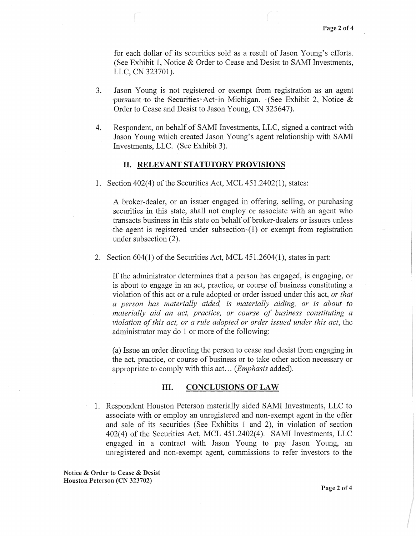for each dollar of its securities sold as a result of Jason Young's efforts. (See Exhibit 1, Notice & Order to Cease and Desist to SAMI Investments, LLC, CN 323701).

- 3. Jason Young is not registered or exempt from registration as an agent pursuant to the Securities Act in Michigan. (See Exhibit 2, Notice  $\&$ Order to Cease and Desist to Jason Young, CN 325647).
- 4. Respondent, on behalf of SAMI Investments, LLC, signed a contract with Jason Young which created Jason Young's agent relationship with SAMI Investments, LLC. (See Exhibit 3).

### **II. RELEVANT STATUTORY PROVISIONS**

1. Section 402(4) of the Securities Act, MCL 451.2402(1), states:

A broker-dealer, or an issuer engaged in offering, selling, or purchasing securities in this state, shall not employ or associate with an agent who transacts business in this state on behalf of broker-dealers or issuers unless the agent is registered under subsection (1) or exempt from registration under subsection (2).

2. Section 604(1) of the Securities Act, MCL 451.2604(1 ), states in part:

If the administrator determines that a person has engaged, is engaging, or is about to engage in an act, practice, or course of business constituting a violation of this act or a rule adopted or order issued under this act, *or that a person has materially aided, is materially aiding, or is about to materially aid an act, practice, or course of business constituting a violation of this act, or a rule adopted or order issued under this act,* the administrator may do 1 or more of the following:

(a) Issue an order directing the person to cease and desist from engaging in the act, practice, or course of business or to take other action necessary or appropriate to comply with this act ... *(Emphasis* added).

#### **III. CONCLUSIONS OF LAW**

1. Respondent Houston Peterson materially aided SAMI Investments, LLC to associate with or employ an unregistered and non-exempt agent in the offer and sale of its securities (See Exhibits 1 and 2), in violation of section 402(4) of the Securities Act, MCL 451.2402(4). SAMI Investments, LLC engaged in a contract with Jason Young to pay Jason Young, an unregistered and non-exempt agent, commissions to refer investors to the

Notice & Order to Cease & Desist Houston Peterson (CN 323702)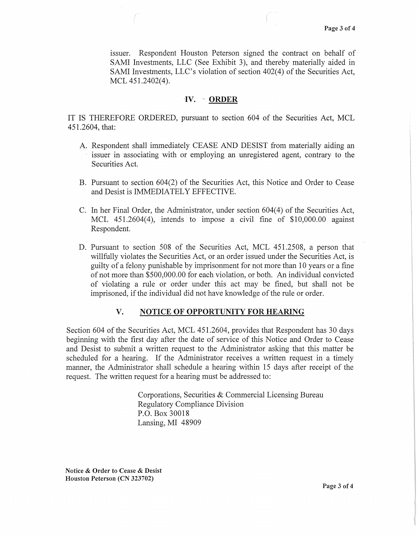issuer. Respondent Houston Peterson signed the contract on behalf of SAMI Investments, LLC (See Exhibit 3), and thereby materially aided in SAMI Investments, LLC's violation of section 402(4) of the Securities Act, MCL 451.2402(4).

#### IV. ORDER

IT IS THEREFORE ORDERED, pursuant to section 604 of the Securities Act, MCL 451.2604, that:

- A. Respondent shall immediately CEASE AND DESIST from materially aiding an issuer in associating with or employing an unregistered agent, contrary to the Securities Act.
- B. Pursuant to section 604(2) of the Securities Act, this Notice and Order to Cease and Desist is IMMEDIATELY EFFECTIVE.
- C. In her Final Order, the Administrator, under section 604(4) of the Securities Act, MCL 451.2604(4), intends to impose a civil fine of \$10,000.00 against Respondent.
- D. Pursuant to section 508 of the Securities Act, MCL 451.2508, a person that willfully violates the Securities Act, or an order issued under the Securities Act, is guilty of a felony punishable by imprisonment for not more than 10 years or a fine of not more than \$500,000.00 for each violation, or both. An individual convicted of violating a rule or order under this act may be fined, but shall not be imprisoned, if the individual did not have knowledge of the rule or order.

#### V. NOTICE OF OPPORTUNITY FOR HEARING

Section 604 of the Securities Act, MCL 451.2604, provides that Respondent has 30 days beginning with the first day after the date of service of this Notice and Order to Cease and Desist to submit a written request to the Administrator asking that this matter be scheduled for a hearing. If the Administrator receives a written request in a timely manner, the Administrator shall schedule a hearing within 15 days after receipt of the request. The written request for a hearing must be addressed to:

> Corporations, Securities & Commercial Licensing Bureau Regulatory Compliance Division P.O. Box 30018 Lansing, MI 48909

Notice & Order to Cease & Desist Houston Peterson (CN 323702)